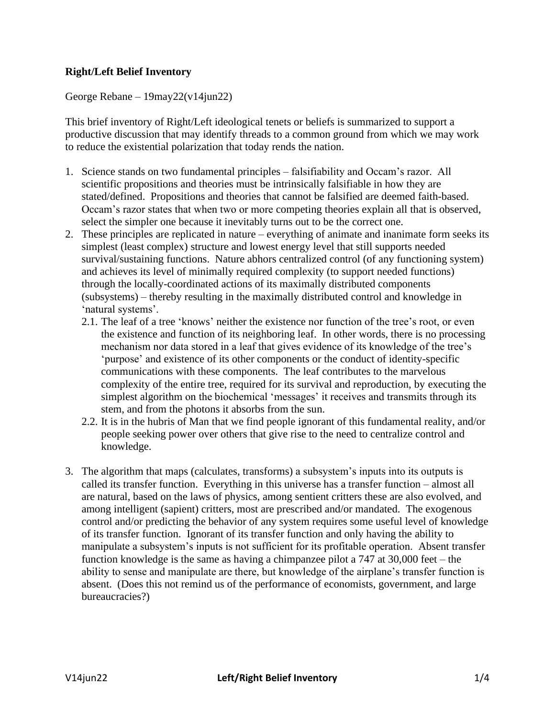## **Right/Left Belief Inventory**

George Rebane – 19may22(v14jun22)

This brief inventory of Right/Left ideological tenets or beliefs is summarized to support a productive discussion that may identify threads to a common ground from which we may work to reduce the existential polarization that today rends the nation.

- 1. Science stands on two fundamental principles falsifiability and Occam's razor. All scientific propositions and theories must be intrinsically falsifiable in how they are stated/defined. Propositions and theories that cannot be falsified are deemed faith-based. Occam's razor states that when two or more competing theories explain all that is observed, select the simpler one because it inevitably turns out to be the correct one.
- 2. These principles are replicated in nature everything of animate and inanimate form seeks its simplest (least complex) structure and lowest energy level that still supports needed survival/sustaining functions. Nature abhors centralized control (of any functioning system) and achieves its level of minimally required complexity (to support needed functions) through the locally-coordinated actions of its maximally distributed components (subsystems) – thereby resulting in the maximally distributed control and knowledge in 'natural systems'.
	- 2.1. The leaf of a tree 'knows' neither the existence nor function of the tree's root, or even the existence and function of its neighboring leaf. In other words, there is no processing mechanism nor data stored in a leaf that gives evidence of its knowledge of the tree's 'purpose' and existence of its other components or the conduct of identity-specific communications with these components. The leaf contributes to the marvelous complexity of the entire tree, required for its survival and reproduction, by executing the simplest algorithm on the biochemical 'messages' it receives and transmits through its stem, and from the photons it absorbs from the sun.
	- 2.2. It is in the hubris of Man that we find people ignorant of this fundamental reality, and/or people seeking power over others that give rise to the need to centralize control and knowledge.
- 3. The algorithm that maps (calculates, transforms) a subsystem's inputs into its outputs is called its transfer function. Everything in this universe has a transfer function – almost all are natural, based on the laws of physics, among sentient critters these are also evolved, and among intelligent (sapient) critters, most are prescribed and/or mandated. The exogenous control and/or predicting the behavior of any system requires some useful level of knowledge of its transfer function. Ignorant of its transfer function and only having the ability to manipulate a subsystem's inputs is not sufficient for its profitable operation. Absent transfer function knowledge is the same as having a chimpanzee pilot a 747 at 30,000 feet – the ability to sense and manipulate are there, but knowledge of the airplane's transfer function is absent. (Does this not remind us of the performance of economists, government, and large bureaucracies?)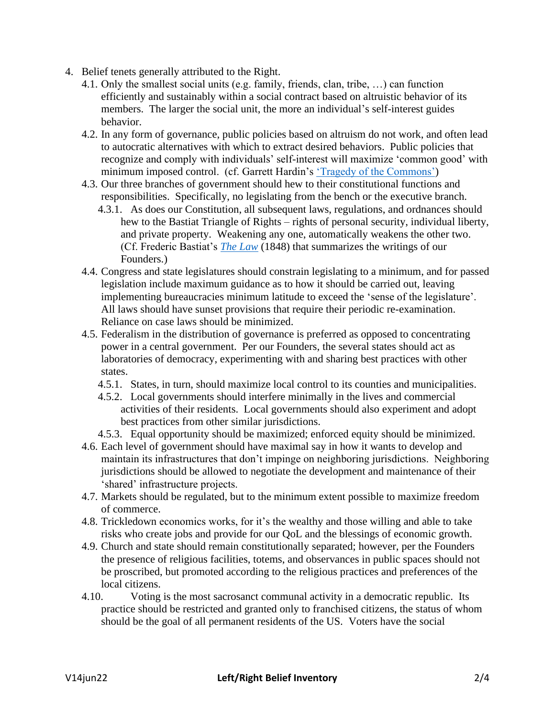- 4. Belief tenets generally attributed to the Right.
	- 4.1. Only the smallest social units (e.g. family, friends, clan, tribe, …) can function efficiently and sustainably within a social contract based on altruistic behavior of its members. The larger the social unit, the more an individual's self-interest guides behavior.
	- 4.2. In any form of governance, public policies based on altruism do not work, and often lead to autocratic alternatives with which to extract desired behaviors. Public policies that recognize and comply with individuals' self-interest will maximize 'common good' with minimum imposed control. (cf. Garrett Hardin's ['Tragedy of the Commons'\)](https://www.hendrix.edu/uploadedFiles/Admission/GarrettHardinArticle.pdf)
	- 4.3. Our three branches of government should hew to their constitutional functions and responsibilities. Specifically, no legislating from the bench or the executive branch.
		- 4.3.1. As does our Constitution, all subsequent laws, regulations, and ordnances should hew to the Bastiat Triangle of Rights – rights of personal security, individual liberty, and private property. Weakening any one, automatically weakens the other two. (Cf. Frederic Bastiat's *[The Law](https://cdn.mises.org/thelaw.pdf)* (1848) that summarizes the writings of our Founders.)
	- 4.4. Congress and state legislatures should constrain legislating to a minimum, and for passed legislation include maximum guidance as to how it should be carried out, leaving implementing bureaucracies minimum latitude to exceed the 'sense of the legislature'. All laws should have sunset provisions that require their periodic re-examination. Reliance on case laws should be minimized.
	- 4.5. Federalism in the distribution of governance is preferred as opposed to concentrating power in a central government. Per our Founders, the several states should act as laboratories of democracy, experimenting with and sharing best practices with other states.
		- 4.5.1. States, in turn, should maximize local control to its counties and municipalities.
		- 4.5.2. Local governments should interfere minimally in the lives and commercial activities of their residents. Local governments should also experiment and adopt best practices from other similar jurisdictions.
		- 4.5.3. Equal opportunity should be maximized; enforced equity should be minimized.
	- 4.6. Each level of government should have maximal say in how it wants to develop and maintain its infrastructures that don't impinge on neighboring jurisdictions. Neighboring jurisdictions should be allowed to negotiate the development and maintenance of their 'shared' infrastructure projects.
	- 4.7. Markets should be regulated, but to the minimum extent possible to maximize freedom of commerce.
	- 4.8. Trickledown economics works, for it's the wealthy and those willing and able to take risks who create jobs and provide for our QoL and the blessings of economic growth.
	- 4.9. Church and state should remain constitutionally separated; however, per the Founders the presence of religious facilities, totems, and observances in public spaces should not be proscribed, but promoted according to the religious practices and preferences of the local citizens.
	- 4.10. Voting is the most sacrosanct communal activity in a democratic republic. Its practice should be restricted and granted only to franchised citizens, the status of whom should be the goal of all permanent residents of the US. Voters have the social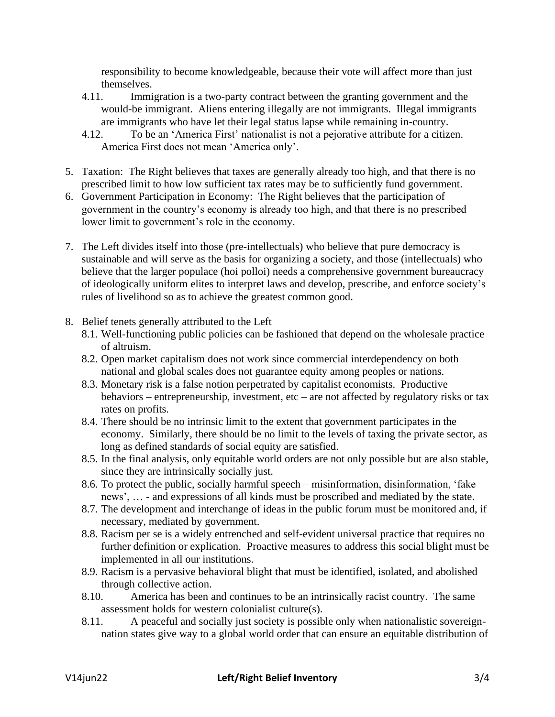responsibility to become knowledgeable, because their vote will affect more than just themselves.

- 4.11. Immigration is a two-party contract between the granting government and the would-be immigrant. Aliens entering illegally are not immigrants. Illegal immigrants are immigrants who have let their legal status lapse while remaining in-country.
- 4.12. To be an 'America First' nationalist is not a pejorative attribute for a citizen. America First does not mean 'America only'.
- 5. Taxation: The Right believes that taxes are generally already too high, and that there is no prescribed limit to how low sufficient tax rates may be to sufficiently fund government.
- 6. Government Participation in Economy: The Right believes that the participation of government in the country's economy is already too high, and that there is no prescribed lower limit to government's role in the economy.
- 7. The Left divides itself into those (pre-intellectuals) who believe that pure democracy is sustainable and will serve as the basis for organizing a society, and those (intellectuals) who believe that the larger populace (hoi polloi) needs a comprehensive government bureaucracy of ideologically uniform elites to interpret laws and develop, prescribe, and enforce society's rules of livelihood so as to achieve the greatest common good.
- 8. Belief tenets generally attributed to the Left
	- 8.1. Well-functioning public policies can be fashioned that depend on the wholesale practice of altruism.
	- 8.2. Open market capitalism does not work since commercial interdependency on both national and global scales does not guarantee equity among peoples or nations.
	- 8.3. Monetary risk is a false notion perpetrated by capitalist economists. Productive behaviors – entrepreneurship, investment, etc – are not affected by regulatory risks or tax rates on profits.
	- 8.4. There should be no intrinsic limit to the extent that government participates in the economy. Similarly, there should be no limit to the levels of taxing the private sector, as long as defined standards of social equity are satisfied.
	- 8.5. In the final analysis, only equitable world orders are not only possible but are also stable, since they are intrinsically socially just.
	- 8.6. To protect the public, socially harmful speech misinformation, disinformation, 'fake news', … - and expressions of all kinds must be proscribed and mediated by the state.
	- 8.7. The development and interchange of ideas in the public forum must be monitored and, if necessary, mediated by government.
	- 8.8. Racism per se is a widely entrenched and self-evident universal practice that requires no further definition or explication. Proactive measures to address this social blight must be implemented in all our institutions.
	- 8.9. Racism is a pervasive behavioral blight that must be identified, isolated, and abolished through collective action.
	- 8.10. America has been and continues to be an intrinsically racist country. The same assessment holds for western colonialist culture(s).
	- 8.11. A peaceful and socially just society is possible only when nationalistic sovereignnation states give way to a global world order that can ensure an equitable distribution of